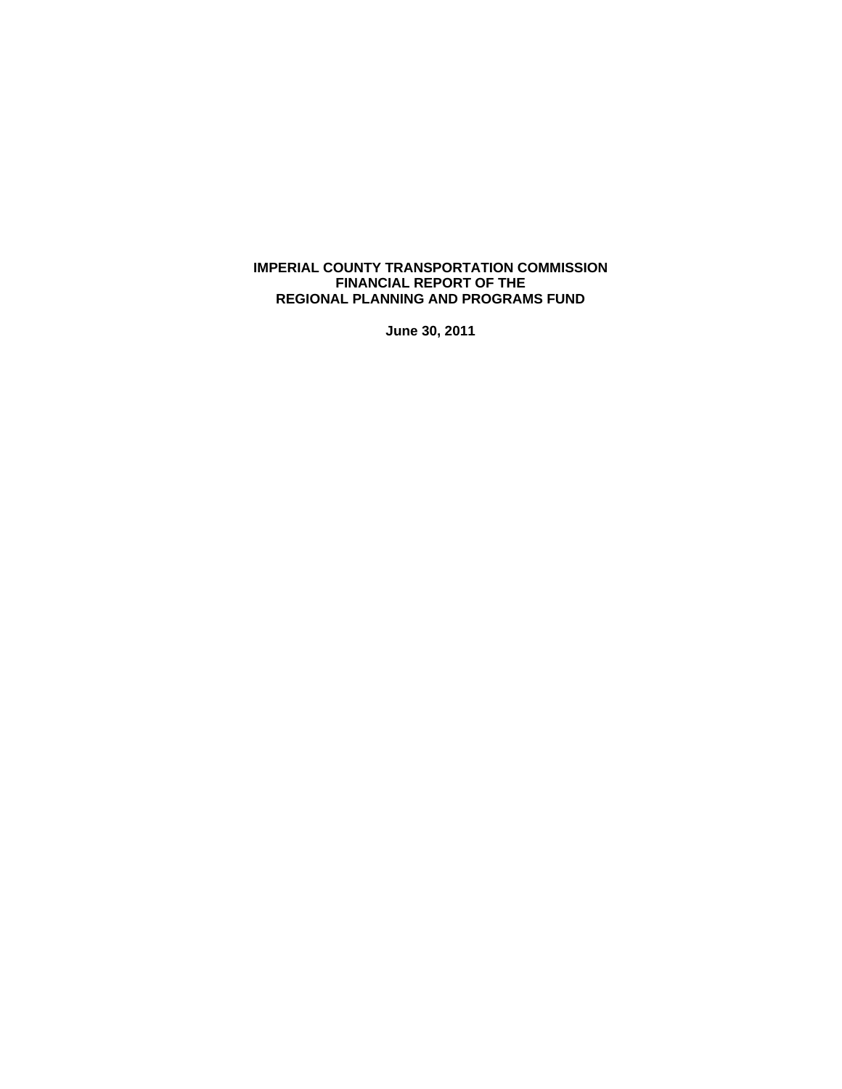# **IMPERIAL COUNTY TRANSPORTATION COMMISSION FINANCIAL REPORT OF THE REGIONAL PLANNING AND PROGRAMS FUND**

**June 30, 2011**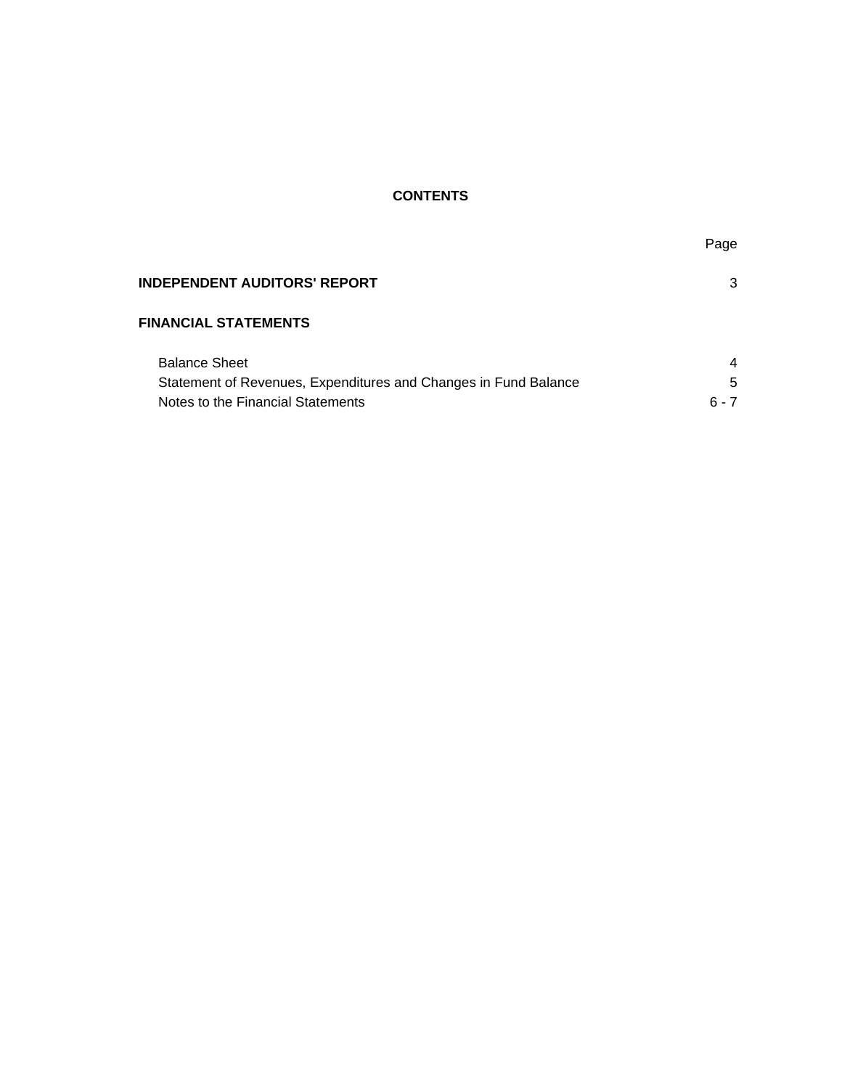# **CONTENTS**

| Page |
|------|

| <b>INDEPENDENT AUDITORS' REPORT</b>                             | 3       |
|-----------------------------------------------------------------|---------|
| <b>FINANCIAL STATEMENTS</b>                                     |         |
| <b>Balance Sheet</b>                                            | 4       |
| Statement of Revenues, Expenditures and Changes in Fund Balance | 5       |
| Notes to the Financial Statements                               | $6 - 7$ |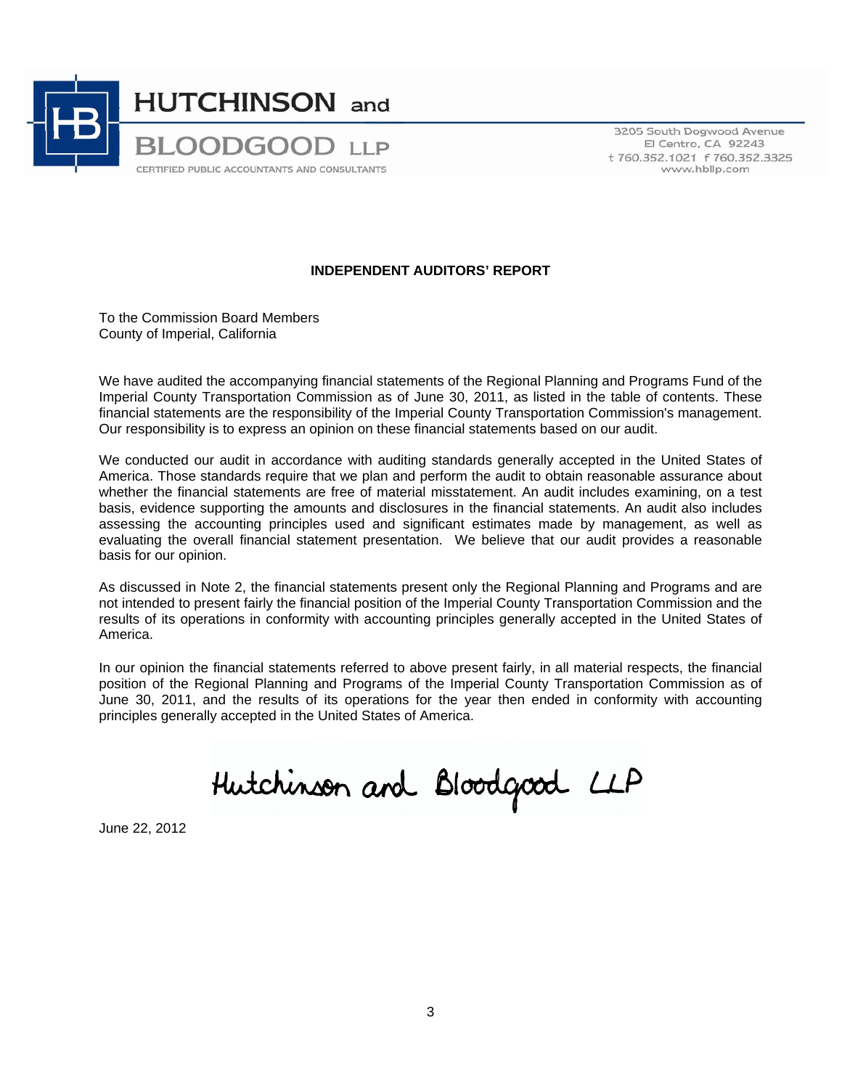

3205 South Dogwood Avenue El Centro, CA 92243 t 760.352.1021 f 760.352.3325 www.hbllp.com

# **INDEPENDENT AUDITORS' REPORT**

To the Commission Board Members County of Imperial, California

We have audited the accompanying financial statements of the Regional Planning and Programs Fund of the Imperial County Transportation Commission as of June 30, 2011, as listed in the table of contents. These financial statements are the responsibility of the Imperial County Transportation Commission's management. Our responsibility is to express an opinion on these financial statements based on our audit.

We conducted our audit in accordance with auditing standards generally accepted in the United States of America. Those standards require that we plan and perform the audit to obtain reasonable assurance about whether the financial statements are free of material misstatement. An audit includes examining, on a test basis, evidence supporting the amounts and disclosures in the financial statements. An audit also includes assessing the accounting principles used and significant estimates made by management, as well as evaluating the overall financial statement presentation. We believe that our audit provides a reasonable basis for our opinion.

As discussed in Note 2, the financial statements present only the Regional Planning and Programs and are not intended to present fairly the financial position of the Imperial County Transportation Commission and the results of its operations in conformity with accounting principles generally accepted in the United States of America.

In our opinion the financial statements referred to above present fairly, in all material respects, the financial position of the Regional Planning and Programs of the Imperial County Transportation Commission as of June 30, 2011, and the results of its operations for the year then ended in conformity with accounting principles generally accepted in the United States of America.

Hutchinson and Bloodgood LLP

June 22, 2012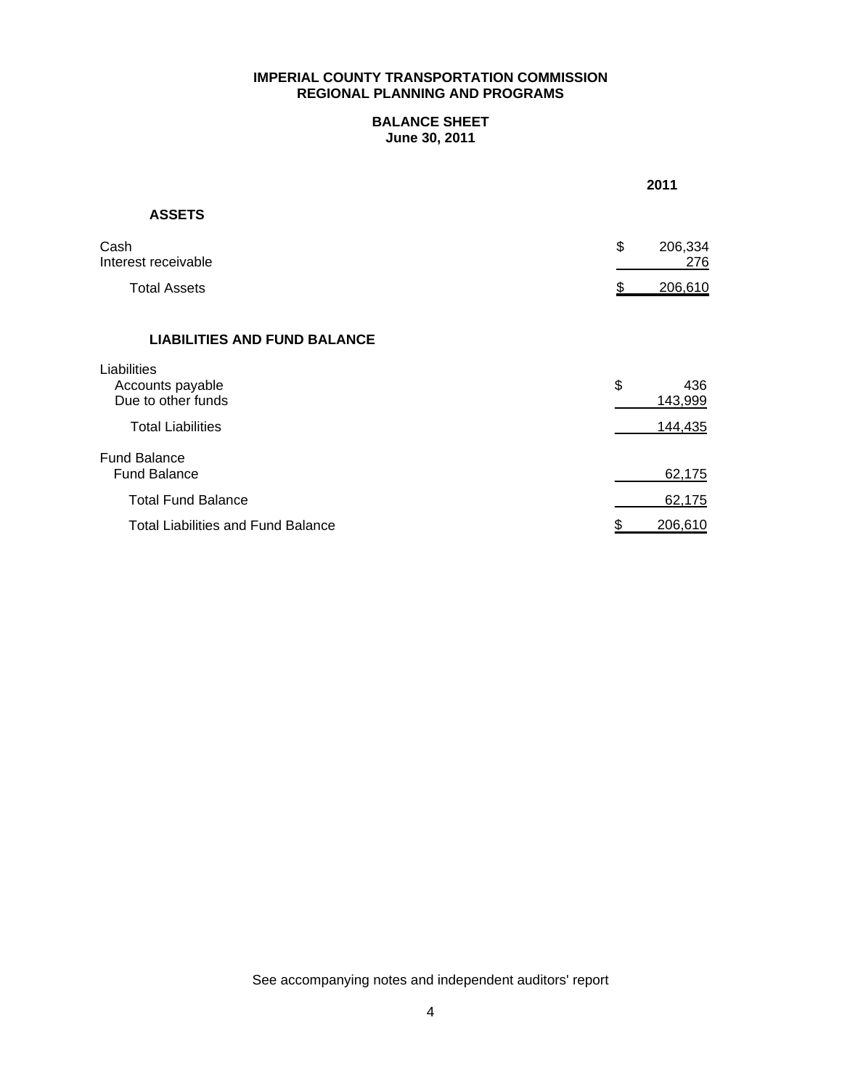# **BALANCE SHEET June 30, 2011**

|                                                       | 2011                 |
|-------------------------------------------------------|----------------------|
| <b>ASSETS</b>                                         |                      |
| Cash<br>Interest receivable                           | \$<br>206,334<br>276 |
| <b>Total Assets</b>                                   | 206,610              |
| <b>LIABILITIES AND FUND BALANCE</b>                   |                      |
| Liabilities<br>Accounts payable<br>Due to other funds | \$<br>436<br>143,999 |
| <b>Total Liabilities</b>                              | 144,435              |
| <b>Fund Balance</b><br><b>Fund Balance</b>            | 62,175               |
| <b>Total Fund Balance</b>                             | 62,175               |
| <b>Total Liabilities and Fund Balance</b>             | 206,610<br>\$        |

See accompanying notes and independent auditors' report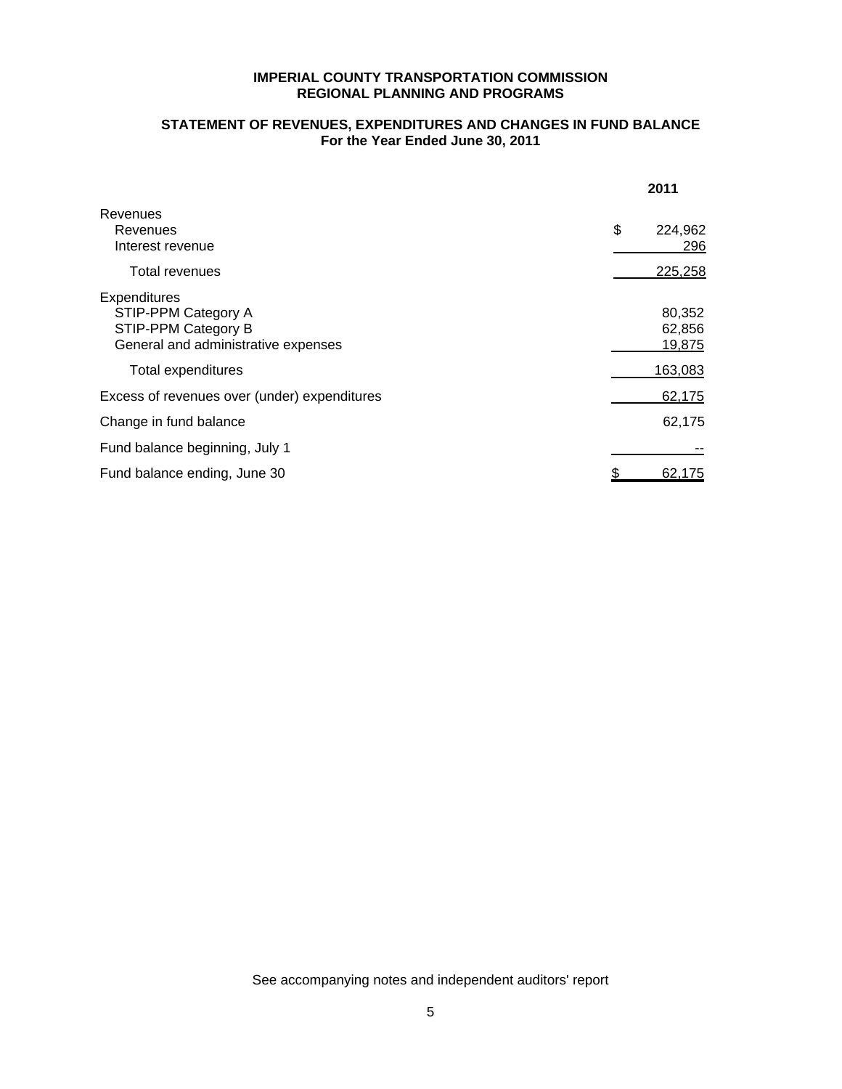# **STATEMENT OF REVENUES, EXPENDITURES AND CHANGES IN FUND BALANCE For the Year Ended June 30, 2011**

|                                                                                                                         | 2011                                  |
|-------------------------------------------------------------------------------------------------------------------------|---------------------------------------|
| Revenues<br>Revenues<br>Interest revenue                                                                                | \$<br>224,962<br>296                  |
| Total revenues                                                                                                          | 225,258                               |
| Expenditures<br>STIP-PPM Category A<br>STIP-PPM Category B<br>General and administrative expenses<br>Total expenditures | 80,352<br>62,856<br>19,875<br>163,083 |
| Excess of revenues over (under) expenditures                                                                            | 62,175                                |
| Change in fund balance                                                                                                  | 62,175                                |
| Fund balance beginning, July 1                                                                                          |                                       |
| Fund balance ending, June 30                                                                                            | <u>62,175</u>                         |

See accompanying notes and independent auditors' report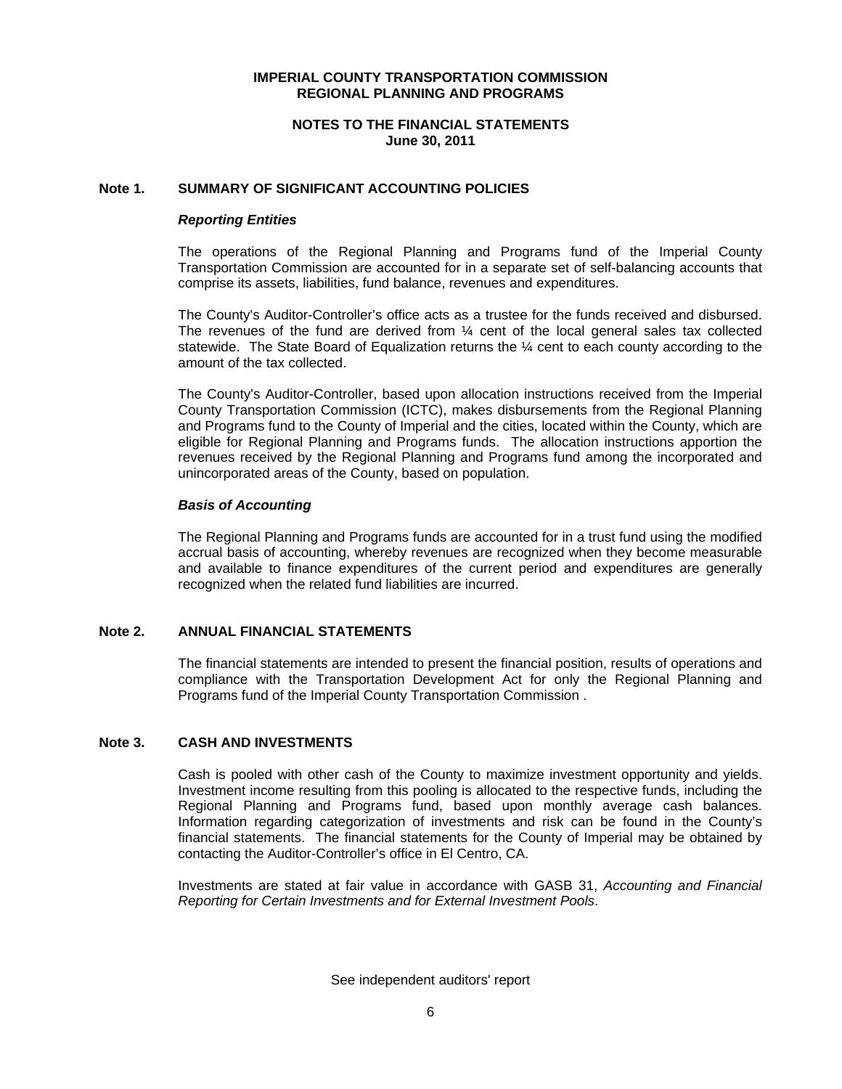# **NOTES TO THE FINANCIAL STATEMENTS June 30, 2011**

# **Note 1. SUMMARY OF SIGNIFICANT ACCOUNTING POLICIES**

#### *Reporting Entities*

The operations of the Regional Planning and Programs fund of the Imperial County Transportation Commission are accounted for in a separate set of self-balancing accounts that comprise its assets, liabilities, fund balance, revenues and expenditures.

The County's Auditor-Controller's office acts as a trustee for the funds received and disbursed. The revenues of the fund are derived from  $\frac{1}{4}$  cent of the local general sales tax collected statewide. The State Board of Equalization returns the ¼ cent to each county according to the amount of the tax collected.

The County's Auditor-Controller, based upon allocation instructions received from the Imperial County Transportation Commission (ICTC), makes disbursements from the Regional Planning and Programs fund to the County of Imperial and the cities, located within the County, which are eligible for Regional Planning and Programs funds. The allocation instructions apportion the revenues received by the Regional Planning and Programs fund among the incorporated and unincorporated areas of the County, based on population.

#### *Basis of Accounting*

The Regional Planning and Programs funds are accounted for in a trust fund using the modified accrual basis of accounting, whereby revenues are recognized when they become measurable and available to finance expenditures of the current period and expenditures are generally recognized when the related fund liabilities are incurred.

# **Note 2. ANNUAL FINANCIAL STATEMENTS**

The financial statements are intended to present the financial position, results of operations and compliance with the Transportation Development Act for only the Regional Planning and Programs fund of the Imperial County Transportation Commission .

# **Note 3. CASH AND INVESTMENTS**

Cash is pooled with other cash of the County to maximize investment opportunity and yields. Investment income resulting from this pooling is allocated to the respective funds, including the Regional Planning and Programs fund, based upon monthly average cash balances. Information regarding categorization of investments and risk can be found in the County's financial statements. The financial statements for the County of Imperial may be obtained by contacting the Auditor-Controller's office in El Centro, CA.

Investments are stated at fair value in accordance with GASB 31, *Accounting and Financial Reporting for Certain Investments and for External Investment Pools*.

See independent auditors' report